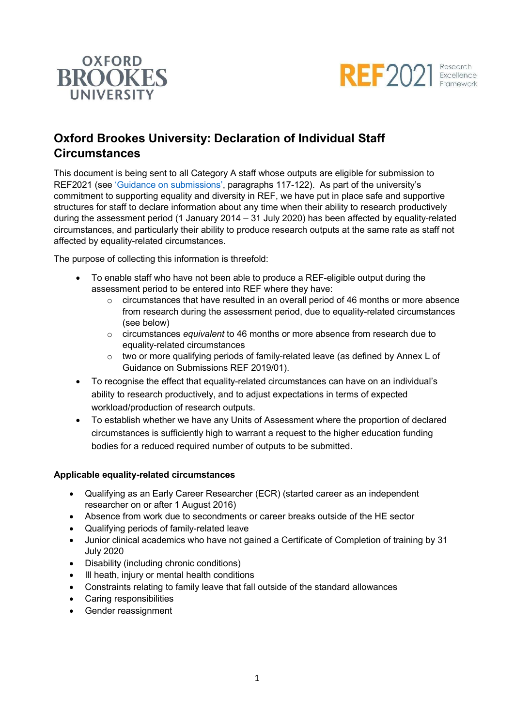



# Oxford Brookes University: Declaration of Individual Staff **Circumstances**

This document is being sent to all Category A staff whose outputs are eligible for submission to REF2021 (see 'Guidance on submissions', paragraphs 117-122). As part of the university's commitment to supporting equality and diversity in REF, we have put in place safe and supportive structures for staff to declare information about any time when their ability to research productively during the assessment period (1 January 2014 – 31 July 2020) has been affected by equality-related circumstances, and particularly their ability to produce research outputs at the same rate as staff not affected by equality-related circumstances.

The purpose of collecting this information is threefold:

- To enable staff who have not been able to produce a REF-eligible output during the assessment period to be entered into REF where they have:
	- $\circ$  circumstances that have resulted in an overall period of 46 months or more absence from research during the assessment period, due to equality-related circumstances (see below)
	- $\circ$  circumstances equivalent to 46 months or more absence from research due to equality-related circumstances
	- $\circ$  two or more qualifying periods of family-related leave (as defined by Annex L of Guidance on Submissions REF 2019/01).
- To recognise the effect that equality-related circumstances can have on an individual's ability to research productively, and to adjust expectations in terms of expected workload/production of research outputs.
- To establish whether we have any Units of Assessment where the proportion of declared circumstances is sufficiently high to warrant a request to the higher education funding bodies for a reduced required number of outputs to be submitted.

### Applicable equality-related circumstances

- Qualifying as an Early Career Researcher (ECR) (started career as an independent researcher on or after 1 August 2016)
- Absence from work due to secondments or career breaks outside of the HE sector
- Qualifying periods of family-related leave
- Junior clinical academics who have not gained a Certificate of Completion of training by 31 July 2020
- Disability (including chronic conditions)
- Ill heath, injury or mental health conditions
- Constraints relating to family leave that fall outside of the standard allowances
- Caring responsibilities
- Gender reassignment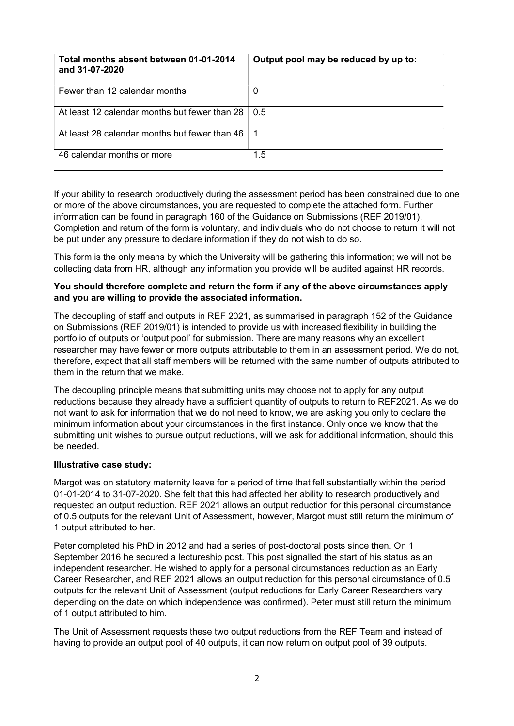| Total months absent between 01-01-2014<br>and 31-07-2020 | Output pool may be reduced by up to: |
|----------------------------------------------------------|--------------------------------------|
| Fewer than 12 calendar months                            | 0                                    |
| At least 12 calendar months but fewer than 28            | 0.5                                  |
| At least 28 calendar months but fewer than 46            |                                      |
| 46 calendar months or more                               | 1.5                                  |

If your ability to research productively during the assessment period has been constrained due to one or more of the above circumstances, you are requested to complete the attached form. Further information can be found in paragraph 160 of the Guidance on Submissions (REF 2019/01). Completion and return of the form is voluntary, and individuals who do not choose to return it will not be put under any pressure to declare information if they do not wish to do so.

This form is the only means by which the University will be gathering this information; we will not be collecting data from HR, although any information you provide will be audited against HR records.

#### You should therefore complete and return the form if any of the above circumstances apply and you are willing to provide the associated information.

The decoupling of staff and outputs in REF 2021, as summarised in paragraph 152 of the Guidance on Submissions (REF 2019/01) is intended to provide us with increased flexibility in building the portfolio of outputs or 'output pool' for submission. There are many reasons why an excellent researcher may have fewer or more outputs attributable to them in an assessment period. We do not, therefore, expect that all staff members will be returned with the same number of outputs attributed to them in the return that we make.

The decoupling principle means that submitting units may choose not to apply for any output reductions because they already have a sufficient quantity of outputs to return to REF2021. As we do not want to ask for information that we do not need to know, we are asking you only to declare the minimum information about your circumstances in the first instance. Only once we know that the submitting unit wishes to pursue output reductions, will we ask for additional information, should this be needed.

### Illustrative case study:

Margot was on statutory maternity leave for a period of time that fell substantially within the period 01-01-2014 to 31-07-2020. She felt that this had affected her ability to research productively and requested an output reduction. REF 2021 allows an output reduction for this personal circumstance of 0.5 outputs for the relevant Unit of Assessment, however, Margot must still return the minimum of 1 output attributed to her.

Peter completed his PhD in 2012 and had a series of post-doctoral posts since then. On 1 September 2016 he secured a lectureship post. This post signalled the start of his status as an independent researcher. He wished to apply for a personal circumstances reduction as an Early Career Researcher, and REF 2021 allows an output reduction for this personal circumstance of 0.5 outputs for the relevant Unit of Assessment (output reductions for Early Career Researchers vary depending on the date on which independence was confirmed). Peter must still return the minimum of 1 output attributed to him.

The Unit of Assessment requests these two output reductions from the REF Team and instead of having to provide an output pool of 40 outputs, it can now return on output pool of 39 outputs.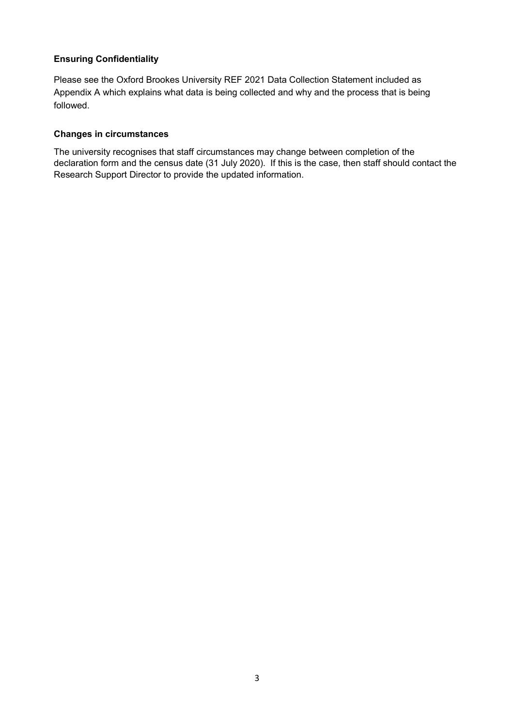## Ensuring Confidentiality

Please see the Oxford Brookes University REF 2021 Data Collection Statement included as Appendix A which explains what data is being collected and why and the process that is being followed.

#### Changes in circumstances

The university recognises that staff circumstances may change between completion of the declaration form and the census date (31 July 2020). If this is the case, then staff should contact the Research Support Director to provide the updated information.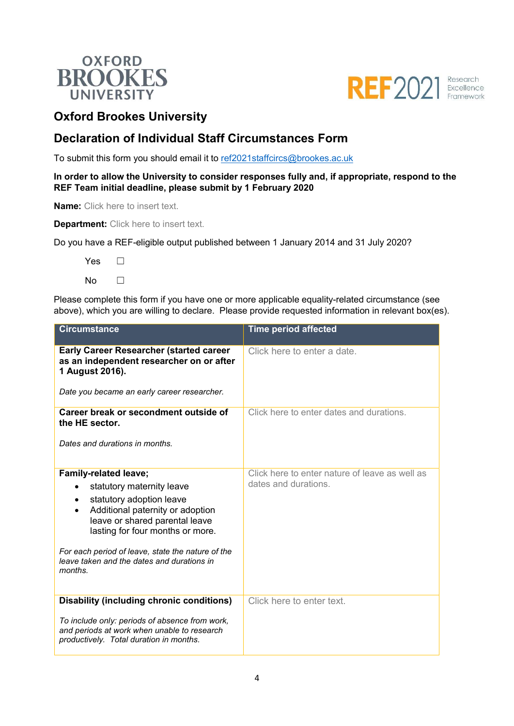



## Oxford Brookes University

## Declaration of Individual Staff Circumstances Form

To submit this form you should email it to ref2021staffcircs@brookes.ac.uk

In order to allow the University to consider responses fully and, if appropriate, respond to the REF Team initial deadline, please submit by 1 February 2020

Name: Click here to insert text.

**Department:** Click here to insert text.

Do you have a REF-eligible output published between 1 January 2014 and 31 July 2020?

Yes □  $No$   $\Box$ 

Please complete this form if you have one or more applicable equality-related circumstance (see above), which you are willing to declare. Please provide requested information in relevant box(es).

| <b>Circumstance</b>                                                                                                                             | <b>Time period affected</b>                    |
|-------------------------------------------------------------------------------------------------------------------------------------------------|------------------------------------------------|
| <b>Early Career Researcher (started career</b><br>as an independent researcher on or after<br>1 August 2016).                                   | Click here to enter a date.                    |
| Date you became an early career researcher.                                                                                                     |                                                |
| Career break or secondment outside of<br>the HE sector.                                                                                         | Click here to enter dates and durations.       |
| Dates and durations in months.                                                                                                                  |                                                |
| <b>Family-related leave;</b>                                                                                                                    | Click here to enter nature of leave as well as |
| statutory maternity leave                                                                                                                       | dates and durations.                           |
| statutory adoption leave<br>$\bullet$<br>Additional paternity or adoption<br>leave or shared parental leave<br>lasting for four months or more. |                                                |
| For each period of leave, state the nature of the<br>leave taken and the dates and durations in<br>months.                                      |                                                |
| <b>Disability (including chronic conditions)</b>                                                                                                | Click here to enter text.                      |
| To include only: periods of absence from work,<br>and periods at work when unable to research<br>productively. Total duration in months.        |                                                |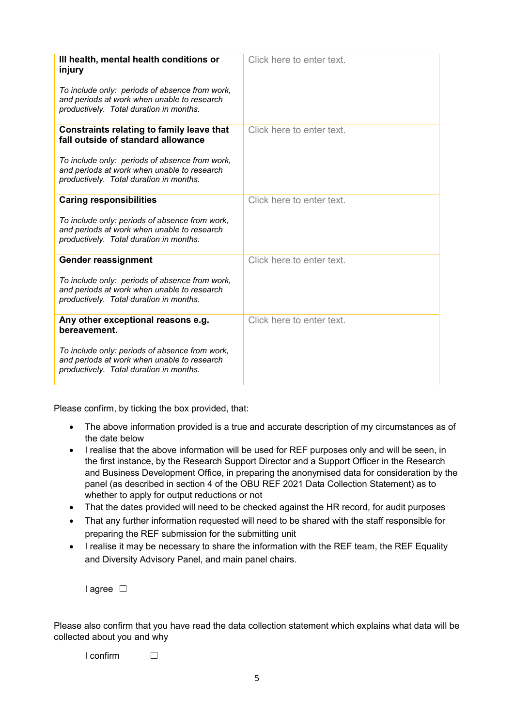| III health, mental health conditions or                                                                                                  | Click here to enter text. |
|------------------------------------------------------------------------------------------------------------------------------------------|---------------------------|
| injury                                                                                                                                   |                           |
| To include only: periods of absence from work,<br>and periods at work when unable to research<br>productively. Total duration in months. |                           |
| <b>Constraints relating to family leave that</b><br>fall outside of standard allowance                                                   | Click here to enter text. |
| To include only: periods of absence from work,<br>and periods at work when unable to research<br>productively. Total duration in months. |                           |
| <b>Caring responsibilities</b>                                                                                                           | Click here to enter text. |
| To include only: periods of absence from work,<br>and periods at work when unable to research<br>productively. Total duration in months. |                           |
| <b>Gender reassignment</b>                                                                                                               | Click here to enter text. |
| To include only: periods of absence from work,<br>and periods at work when unable to research<br>productively. Total duration in months. |                           |
| Any other exceptional reasons e.g.<br>bereavement.                                                                                       | Click here to enter text. |
| To include only: periods of absence from work,<br>and periods at work when unable to research<br>productively. Total duration in months. |                           |

Please confirm, by ticking the box provided, that:

- The above information provided is a true and accurate description of my circumstances as of the date below
- I realise that the above information will be used for REF purposes only and will be seen, in the first instance, by the Research Support Director and a Support Officer in the Research and Business Development Office, in preparing the anonymised data for consideration by the panel (as described in section 4 of the OBU REF 2021 Data Collection Statement) as to whether to apply for output reductions or not
- That the dates provided will need to be checked against the HR record, for audit purposes
- That any further information requested will need to be shared with the staff responsible for preparing the REF submission for the submitting unit
- I realise it may be necessary to share the information with the REF team, the REF Equality and Diversity Advisory Panel, and main panel chairs.

I agree □

Please also confirm that you have read the data collection statement which explains what data will be collected about you and why

 $I$  confirm  $\Box$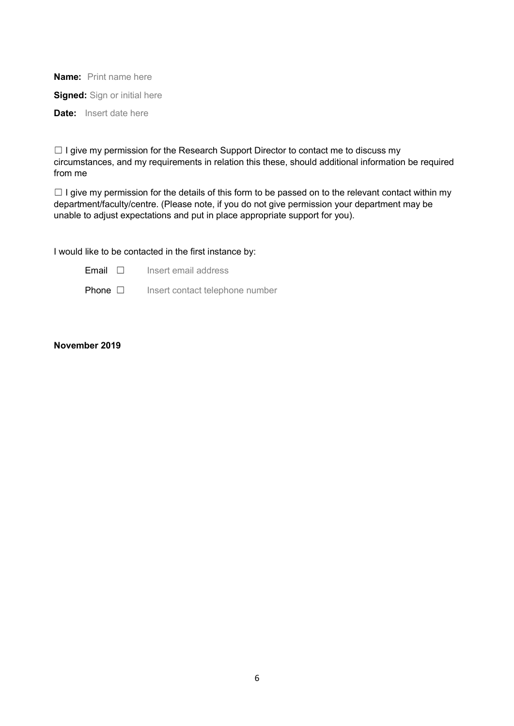Name: Print name here

**Signed:** Sign or initial here

Date: Insert date here

□ I give my permission for the Research Support Director to contact me to discuss my circumstances, and my requirements in relation this these, should additional information be required from me

 $\Box$  I give my permission for the details of this form to be passed on to the relevant contact within my department/faculty/centre. (Please note, if you do not give permission your department may be unable to adjust expectations and put in place appropriate support for you).

I would like to be contacted in the first instance by:

Email ☐ Insert email address

Phone □ Insert contact telephone number

#### November 2019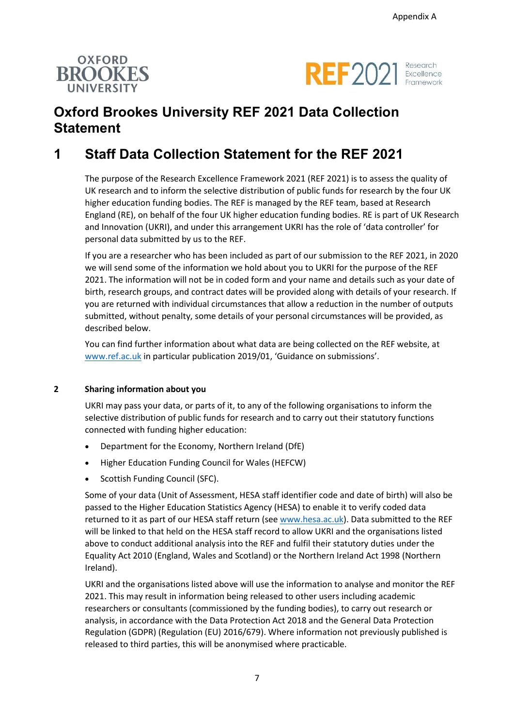



# Oxford Brookes University REF 2021 Data Collection **Statement**

# 1 Staff Data Collection Statement for the REF 2021

The purpose of the Research Excellence Framework 2021 (REF 2021) is to assess the quality of UK research and to inform the selective distribution of public funds for research by the four UK higher education funding bodies. The REF is managed by the REF team, based at Research England (RE), on behalf of the four UK higher education funding bodies. RE is part of UK Research and Innovation (UKRI), and under this arrangement UKRI has the role of 'data controller' for personal data submitted by us to the REF.

If you are a researcher who has been included as part of our submission to the REF 2021, in 2020 we will send some of the information we hold about you to UKRI for the purpose of the REF 2021. The information will not be in coded form and your name and details such as your date of birth, research groups, and contract dates will be provided along with details of your research. If you are returned with individual circumstances that allow a reduction in the number of outputs submitted, without penalty, some details of your personal circumstances will be provided, as described below.

You can find further information about what data are being collected on the REF website, at www.ref.ac.uk in particular publication 2019/01, 'Guidance on submissions'.

#### 2 Sharing information about you

UKRI may pass your data, or parts of it, to any of the following organisations to inform the selective distribution of public funds for research and to carry out their statutory functions connected with funding higher education:

- Department for the Economy, Northern Ireland (DfE)
- Higher Education Funding Council for Wales (HEFCW)
- Scottish Funding Council (SFC).

Some of your data (Unit of Assessment, HESA staff identifier code and date of birth) will also be passed to the Higher Education Statistics Agency (HESA) to enable it to verify coded data returned to it as part of our HESA staff return (see www.hesa.ac.uk). Data submitted to the REF will be linked to that held on the HESA staff record to allow UKRI and the organisations listed above to conduct additional analysis into the REF and fulfil their statutory duties under the Equality Act 2010 (England, Wales and Scotland) or the Northern Ireland Act 1998 (Northern Ireland).

UKRI and the organisations listed above will use the information to analyse and monitor the REF 2021. This may result in information being released to other users including academic researchers or consultants (commissioned by the funding bodies), to carry out research or analysis, in accordance with the Data Protection Act 2018 and the General Data Protection Regulation (GDPR) (Regulation (EU) 2016/679). Where information not previously published is released to third parties, this will be anonymised where practicable.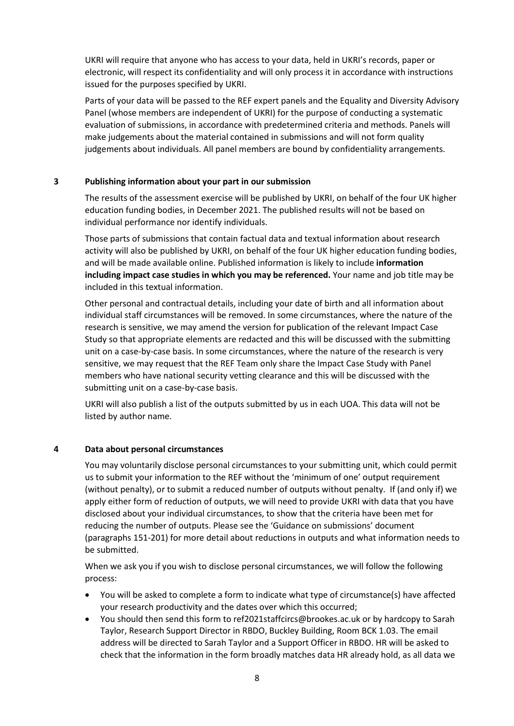UKRI will require that anyone who has access to your data, held in UKRI's records, paper or electronic, will respect its confidentiality and will only process it in accordance with instructions issued for the purposes specified by UKRI.

Parts of your data will be passed to the REF expert panels and the Equality and Diversity Advisory Panel (whose members are independent of UKRI) for the purpose of conducting a systematic evaluation of submissions, in accordance with predetermined criteria and methods. Panels will make judgements about the material contained in submissions and will not form quality judgements about individuals. All panel members are bound by confidentiality arrangements.

#### 3 Publishing information about your part in our submission

The results of the assessment exercise will be published by UKRI, on behalf of the four UK higher education funding bodies, in December 2021. The published results will not be based on individual performance nor identify individuals.

Those parts of submissions that contain factual data and textual information about research activity will also be published by UKRI, on behalf of the four UK higher education funding bodies, and will be made available online. Published information is likely to include information including impact case studies in which you may be referenced. Your name and job title may be included in this textual information.

Other personal and contractual details, including your date of birth and all information about individual staff circumstances will be removed. In some circumstances, where the nature of the research is sensitive, we may amend the version for publication of the relevant Impact Case Study so that appropriate elements are redacted and this will be discussed with the submitting unit on a case-by-case basis. In some circumstances, where the nature of the research is very sensitive, we may request that the REF Team only share the Impact Case Study with Panel members who have national security vetting clearance and this will be discussed with the submitting unit on a case-by-case basis.

UKRI will also publish a list of the outputs submitted by us in each UOA. This data will not be listed by author name.

### 4 Data about personal circumstances

You may voluntarily disclose personal circumstances to your submitting unit, which could permit us to submit your information to the REF without the 'minimum of one' output requirement (without penalty), or to submit a reduced number of outputs without penalty. If (and only if) we apply either form of reduction of outputs, we will need to provide UKRI with data that you have disclosed about your individual circumstances, to show that the criteria have been met for reducing the number of outputs. Please see the 'Guidance on submissions' document (paragraphs 151-201) for more detail about reductions in outputs and what information needs to be submitted.

When we ask you if you wish to disclose personal circumstances, we will follow the following process:

- You will be asked to complete a form to indicate what type of circumstance(s) have affected your research productivity and the dates over which this occurred;
- You should then send this form to ref2021staffcircs@brookes.ac.uk or by hardcopy to Sarah Taylor, Research Support Director in RBDO, Buckley Building, Room BCK 1.03. The email address will be directed to Sarah Taylor and a Support Officer in RBDO. HR will be asked to check that the information in the form broadly matches data HR already hold, as all data we